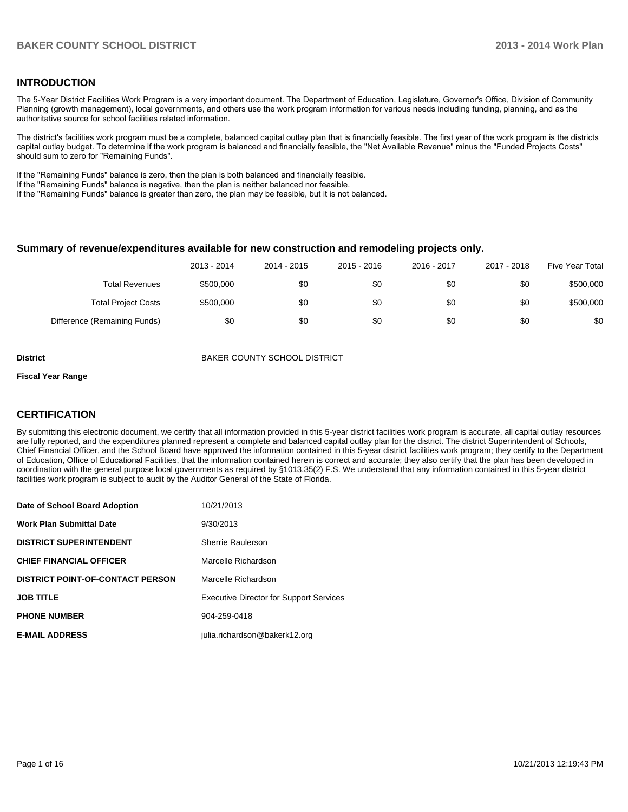### **INTRODUCTION**

The 5-Year District Facilities Work Program is a very important document. The Department of Education, Legislature, Governor's Office, Division of Community Planning (growth management), local governments, and others use the work program information for various needs including funding, planning, and as the authoritative source for school facilities related information.

The district's facilities work program must be a complete, balanced capital outlay plan that is financially feasible. The first year of the work program is the districts capital outlay budget. To determine if the work program is balanced and financially feasible, the "Net Available Revenue" minus the "Funded Projects Costs" should sum to zero for "Remaining Funds".

If the "Remaining Funds" balance is zero, then the plan is both balanced and financially feasible.

If the "Remaining Funds" balance is negative, then the plan is neither balanced nor feasible.

If the "Remaining Funds" balance is greater than zero, the plan may be feasible, but it is not balanced.

#### **Summary of revenue/expenditures available for new construction and remodeling projects only.**

|                              | 2013 - 2014 | 2014 - 2015 | 2015 - 2016 | 2016 - 2017 | 2017 - 2018 | Five Year Total |
|------------------------------|-------------|-------------|-------------|-------------|-------------|-----------------|
| <b>Total Revenues</b>        | \$500,000   | \$0         | \$0         | \$0         | \$0         | \$500,000       |
| <b>Total Project Costs</b>   | \$500,000   | \$0         | \$0         | \$0         | \$0         | \$500,000       |
| Difference (Remaining Funds) | \$0         | \$0         | \$0         | \$0         | \$0         | \$0             |

**District District BAKER COUNTY SCHOOL DISTRICT** 

#### **Fiscal Year Range**

### **CERTIFICATION**

By submitting this electronic document, we certify that all information provided in this 5-year district facilities work program is accurate, all capital outlay resources are fully reported, and the expenditures planned represent a complete and balanced capital outlay plan for the district. The district Superintendent of Schools, Chief Financial Officer, and the School Board have approved the information contained in this 5-year district facilities work program; they certify to the Department of Education, Office of Educational Facilities, that the information contained herein is correct and accurate; they also certify that the plan has been developed in coordination with the general purpose local governments as required by §1013.35(2) F.S. We understand that any information contained in this 5-year district facilities work program is subject to audit by the Auditor General of the State of Florida.

| Date of School Board Adoption           | 10/21/2013                                     |
|-----------------------------------------|------------------------------------------------|
| Work Plan Submittal Date                | 9/30/2013                                      |
| <b>DISTRICT SUPERINTENDENT</b>          | Sherrie Raulerson                              |
| <b>CHIEF FINANCIAL OFFICER</b>          | Marcelle Richardson                            |
| <b>DISTRICT POINT-OF-CONTACT PERSON</b> | Marcelle Richardson                            |
| JOB TITLE                               | <b>Executive Director for Support Services</b> |
| <b>PHONE NUMBER</b>                     | 904-259-0418                                   |
| <b>E-MAIL ADDRESS</b>                   | julia.richardson@bakerk12.org                  |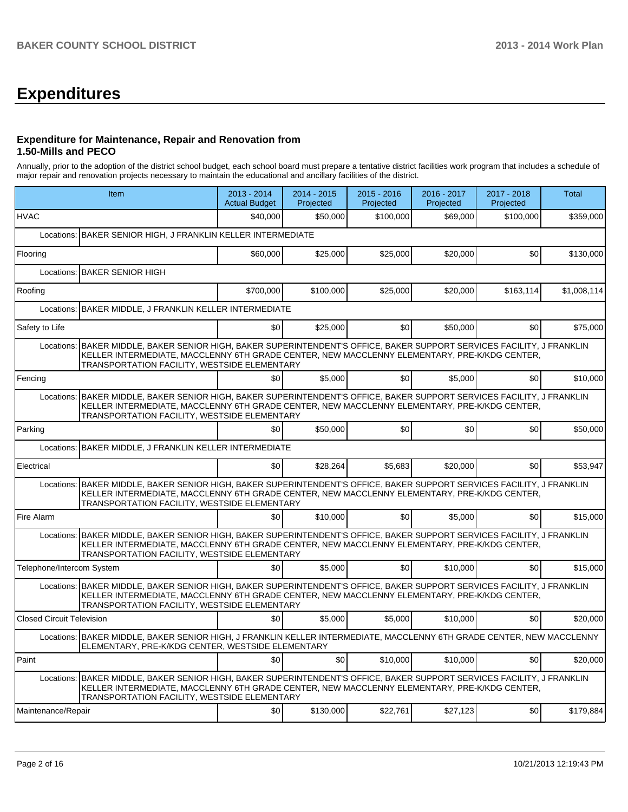# **Expenditures**

## **Expenditure for Maintenance, Repair and Renovation from 1.50-Mills and PECO**

Annually, prior to the adoption of the district school budget, each school board must prepare a tentative district facilities work program that includes a schedule of major repair and renovation projects necessary to maintain the educational and ancillary facilities of the district.

|                                                                                                                                                                                                                                                                        | Item                                                                                                                                                                                                                                                                   | 2013 - 2014<br><b>Actual Budget</b> | 2014 - 2015<br>Projected | $2015 - 2016$<br>Projected | 2016 - 2017<br>Projected | 2017 - 2018<br>Projected | Total       |  |
|------------------------------------------------------------------------------------------------------------------------------------------------------------------------------------------------------------------------------------------------------------------------|------------------------------------------------------------------------------------------------------------------------------------------------------------------------------------------------------------------------------------------------------------------------|-------------------------------------|--------------------------|----------------------------|--------------------------|--------------------------|-------------|--|
| <b>HVAC</b>                                                                                                                                                                                                                                                            |                                                                                                                                                                                                                                                                        | \$40,000                            | \$50,000                 | \$100,000                  | \$69,000                 | \$100,000                | \$359,000   |  |
| Locations:                                                                                                                                                                                                                                                             | BAKER SENIOR HIGH, J FRANKLIN KELLER INTERMEDIATE                                                                                                                                                                                                                      |                                     |                          |                            |                          |                          |             |  |
| Flooring                                                                                                                                                                                                                                                               |                                                                                                                                                                                                                                                                        | \$60,000                            | \$25,000                 | \$25,000                   | \$20,000                 | \$0                      | \$130,000   |  |
|                                                                                                                                                                                                                                                                        | Locations: BAKER SENIOR HIGH                                                                                                                                                                                                                                           |                                     |                          |                            |                          |                          |             |  |
| Roofing                                                                                                                                                                                                                                                                |                                                                                                                                                                                                                                                                        | \$700,000                           | \$100,000                | \$25,000                   | \$20,000                 | \$163,114                | \$1,008,114 |  |
| Locations:                                                                                                                                                                                                                                                             | BAKER MIDDLE, J FRANKLIN KELLER INTERMEDIATE                                                                                                                                                                                                                           |                                     |                          |                            |                          |                          |             |  |
| Safety to Life                                                                                                                                                                                                                                                         |                                                                                                                                                                                                                                                                        | \$0                                 | \$25,000                 | \$0                        | \$50,000                 | \$0                      | \$75,000    |  |
|                                                                                                                                                                                                                                                                        | Locations: BAKER MIDDLE, BAKER SENIOR HIGH, BAKER SUPERINTENDENT'S OFFICE, BAKER SUPPORT SERVICES FACILITY, J FRANKLIN<br>KELLER INTERMEDIATE, MACCLENNY 6TH GRADE CENTER, NEW MACCLENNY ELEMENTARY, PRE-K/KDG CENTER,<br>TRANSPORTATION FACILITY, WESTSIDE ELEMENTARY |                                     |                          |                            |                          |                          |             |  |
| Fencing                                                                                                                                                                                                                                                                |                                                                                                                                                                                                                                                                        | \$0                                 | \$5,000                  | \$0                        | \$5,000                  | \$0                      | \$10,000    |  |
|                                                                                                                                                                                                                                                                        | Locations: BAKER MIDDLE, BAKER SENIOR HIGH, BAKER SUPERINTENDENT'S OFFICE, BAKER SUPPORT SERVICES FACILITY, J FRANKLIN<br>KELLER INTERMEDIATE, MACCLENNY 6TH GRADE CENTER, NEW MACCLENNY ELEMENTARY, PRE-K/KDG CENTER,<br>TRANSPORTATION FACILITY, WESTSIDE ELEMENTARY |                                     |                          |                            |                          |                          |             |  |
| Parking                                                                                                                                                                                                                                                                |                                                                                                                                                                                                                                                                        | \$0                                 | \$50,000                 | \$0                        | \$0                      | \$0                      | \$50,000    |  |
| Locations:                                                                                                                                                                                                                                                             | BAKER MIDDLE, J FRANKLIN KELLER INTERMEDIATE                                                                                                                                                                                                                           |                                     |                          |                            |                          |                          |             |  |
| Electrical                                                                                                                                                                                                                                                             |                                                                                                                                                                                                                                                                        | \$0                                 | \$28,264                 | \$5.683                    | \$20,000                 | \$0                      | \$53,947    |  |
|                                                                                                                                                                                                                                                                        | Locations: BAKER MIDDLE, BAKER SENIOR HIGH, BAKER SUPERINTENDENT'S OFFICE, BAKER SUPPORT SERVICES FACILITY, J FRANKLIN<br>KELLER INTERMEDIATE, MACCLENNY 6TH GRADE CENTER, NEW MACCLENNY ELEMENTARY, PRE-K/KDG CENTER,<br>TRANSPORTATION FACILITY, WESTSIDE ELEMENTARY |                                     |                          |                            |                          |                          |             |  |
| Fire Alarm                                                                                                                                                                                                                                                             |                                                                                                                                                                                                                                                                        | \$0                                 | \$10,000                 | \$0                        | \$5,000                  | \$0                      | \$15,000    |  |
| Locations: BAKER MIDDLE, BAKER SENIOR HIGH, BAKER SUPERINTENDENT'S OFFICE, BAKER SUPPORT SERVICES FACILITY, J FRANKLIN<br>KELLER INTERMEDIATE, MACCLENNY 6TH GRADE CENTER, NEW MACCLENNY ELEMENTARY, PRE-K/KDG CENTER,<br>TRANSPORTATION FACILITY, WESTSIDE ELEMENTARY |                                                                                                                                                                                                                                                                        |                                     |                          |                            |                          |                          |             |  |
| Telephone/Intercom System                                                                                                                                                                                                                                              |                                                                                                                                                                                                                                                                        | \$0 <sub>l</sub>                    | \$5,000                  | \$0                        | \$10,000                 | \$0                      | \$15,000    |  |
| Locations: BAKER MIDDLE, BAKER SENIOR HIGH, BAKER SUPERINTENDENT'S OFFICE, BAKER SUPPORT SERVICES FACILITY, J FRANKLIN<br>KELLER INTERMEDIATE, MACCLENNY 6TH GRADE CENTER, NEW MACCLENNY ELEMENTARY, PRE-K/KDG CENTER,<br>TRANSPORTATION FACILITY, WESTSIDE ELEMENTARY |                                                                                                                                                                                                                                                                        |                                     |                          |                            |                          |                          |             |  |
| <b>Closed Circuit Television</b>                                                                                                                                                                                                                                       |                                                                                                                                                                                                                                                                        | \$0                                 | \$5,000                  | \$5.000                    | \$10,000                 | \$0                      | \$20,000    |  |
|                                                                                                                                                                                                                                                                        | Locations: BAKER MIDDLE, BAKER SENIOR HIGH, J FRANKLIN KELLER INTERMEDIATE, MACCLENNY 6TH GRADE CENTER, NEW MACCLENNY<br>ELEMENTARY, PRE-K/KDG CENTER, WESTSIDE ELEMENTARY                                                                                             |                                     |                          |                            |                          |                          |             |  |
| Paint                                                                                                                                                                                                                                                                  |                                                                                                                                                                                                                                                                        | \$0                                 | \$0                      | \$10,000                   | \$10,000                 | \$0                      | \$20,000    |  |
|                                                                                                                                                                                                                                                                        | Locations: BAKER MIDDLE, BAKER SENIOR HIGH, BAKER SUPERINTENDENT'S OFFICE, BAKER SUPPORT SERVICES FACILITY, J FRANKLIN<br>KELLER INTERMEDIATE, MACCLENNY 6TH GRADE CENTER, NEW MACCLENNY ELEMENTARY, PRE-K/KDG CENTER,<br>TRANSPORTATION FACILITY, WESTSIDE ELEMENTARY |                                     |                          |                            |                          |                          |             |  |
| Maintenance/Repair                                                                                                                                                                                                                                                     |                                                                                                                                                                                                                                                                        | \$0                                 | \$130,000                | \$22,761                   | \$27,123                 | \$0                      | \$179,884   |  |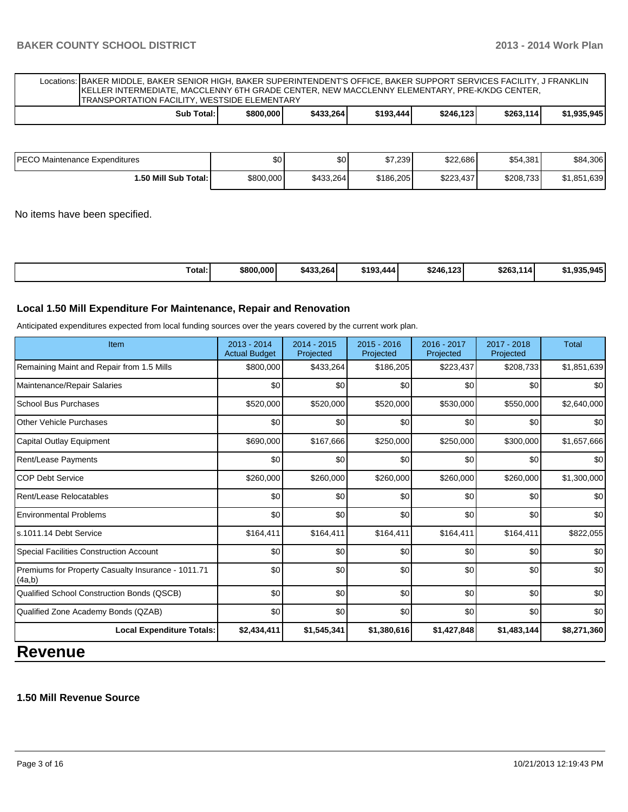Locations: BAKER MIDDLE, BAKER SENIOR HIGH, BAKER SUPERINTENDENT'S OFFICE, BAKER SUPPORT SERVICES FACILITY, J FRANKLIN KELLER INTERMEDIATE, MACCLENNY 6TH GRADE CENTER, NEW MACCLENNY ELEMENTARY, PRE-K/KDG CENTER, TRANSPORTATION FACILITY, WESTSIDE ELEMENTARY

|  | Total: I<br>Sub | \$800,000 | \$433,264 | \$193,444 | 123<br>\$246, | \$263,114 | 1,935,945 |
|--|-----------------|-----------|-----------|-----------|---------------|-----------|-----------|
|--|-----------------|-----------|-----------|-----------|---------------|-----------|-----------|

| IPECO Maintenance Expenditures | \$0       | \$0       | \$7,239   | \$22,686  | \$54,381  | \$84,306    |
|--------------------------------|-----------|-----------|-----------|-----------|-----------|-------------|
| ا :50 Mill Sub Total.          | \$800,000 | \$433,264 | \$186,205 | \$223,437 | \$208,733 | \$1,851,639 |

No items have been specified.

| Total:<br>\$433,264<br>\$800,000 | \$193,<br>.444 | \$246,123 | \$263.1<br>ا114. | 0/5<br>00E.<br>- - - <del>-</del><br>----- |
|----------------------------------|----------------|-----------|------------------|--------------------------------------------|
|----------------------------------|----------------|-----------|------------------|--------------------------------------------|

#### **Local 1.50 Mill Expenditure For Maintenance, Repair and Renovation**

Anticipated expenditures expected from local funding sources over the years covered by the current work plan.

| Item                                                         | $2013 - 2014$<br><b>Actual Budget</b> | $2014 - 2015$<br>Projected | $2015 - 2016$<br>Projected | $2016 - 2017$<br>Projected | $2017 - 2018$<br>Projected | <b>Total</b> |
|--------------------------------------------------------------|---------------------------------------|----------------------------|----------------------------|----------------------------|----------------------------|--------------|
| Remaining Maint and Repair from 1.5 Mills                    | \$800,000                             | \$433,264                  | \$186,205                  | \$223,437                  | \$208,733                  | \$1,851,639  |
| Maintenance/Repair Salaries                                  | \$0                                   | \$0                        | \$0                        | \$0                        | \$0                        | \$0          |
| <b>School Bus Purchases</b>                                  | \$520,000                             | \$520,000                  | \$520,000                  | \$530,000                  | \$550,000                  | \$2,640,000  |
| Other Vehicle Purchases                                      | \$0                                   | \$0                        | \$0                        | \$0                        | \$0                        | \$0          |
| Capital Outlay Equipment                                     | \$690,000                             | \$167,666                  | \$250,000                  | \$250,000                  | \$300,000                  | \$1,657,666  |
| Rent/Lease Payments                                          | \$0                                   | \$0                        | \$0                        | \$0                        | \$0                        | \$0          |
| <b>COP Debt Service</b>                                      | \$260,000                             | \$260,000                  | \$260,000                  | \$260,000                  | \$260,000                  | \$1,300,000  |
| Rent/Lease Relocatables                                      | \$0                                   | \$0                        | \$0                        | \$0                        | \$0                        | \$0          |
| <b>Environmental Problems</b>                                | \$0                                   | \$0                        | \$0                        | \$0                        | \$0                        | \$0          |
| ls.1011.14 Debt Service                                      | \$164,411                             | \$164,411                  | \$164,411                  | \$164,411                  | \$164,411                  | \$822,055    |
| Special Facilities Construction Account                      | \$0                                   | \$0                        | \$0                        | \$0                        | \$0                        | \$0          |
| Premiums for Property Casualty Insurance - 1011.71<br>(4a,b) | \$0                                   | \$0                        | \$0                        | \$0                        | \$0                        | \$0          |
| Qualified School Construction Bonds (QSCB)                   | \$0                                   | \$0                        | \$0                        | \$0                        | \$0                        | \$0          |
| Qualified Zone Academy Bonds (QZAB)                          | \$0                                   | \$0                        | \$0                        | \$0                        | \$0                        | \$0          |
| <b>Local Expenditure Totals:</b>                             | \$2,434,411                           | \$1,545,341                | \$1,380,616                | \$1,427,848                | \$1,483,144                | \$8,271,360  |

# **Revenue**

### **1.50 Mill Revenue Source**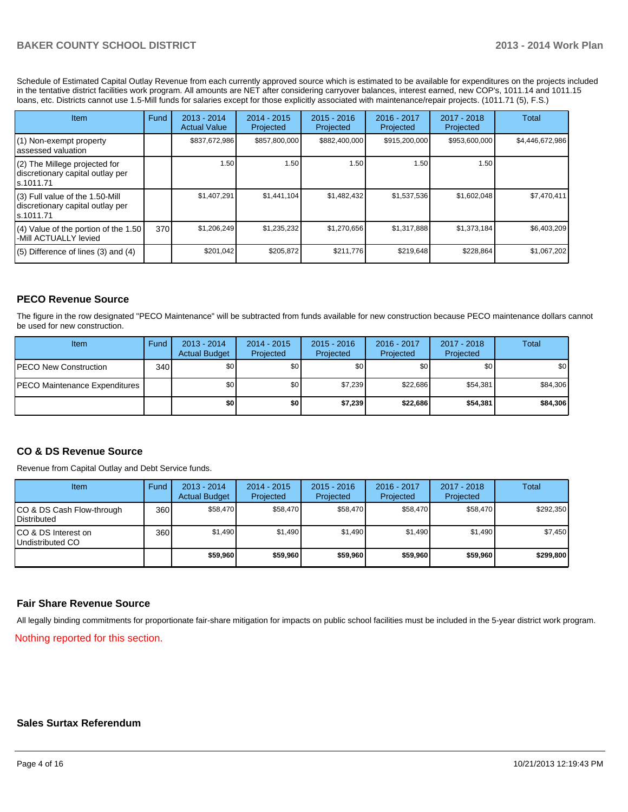Schedule of Estimated Capital Outlay Revenue from each currently approved source which is estimated to be available for expenditures on the projects included in the tentative district facilities work program. All amounts are NET after considering carryover balances, interest earned, new COP's, 1011.14 and 1011.15 loans, etc. Districts cannot use 1.5-Mill funds for salaries except for those explicitly associated with maintenance/repair projects. (1011.71 (5), F.S.)

| Item                                                                                | Fund | 2013 - 2014<br><b>Actual Value</b> | 2014 - 2015<br>Projected | $2015 - 2016$<br>Projected | 2016 - 2017<br>Projected | $2017 - 2018$<br>Projected | Total           |
|-------------------------------------------------------------------------------------|------|------------------------------------|--------------------------|----------------------------|--------------------------|----------------------------|-----------------|
| $(1)$ Non-exempt property<br>lassessed valuation                                    |      | \$837,672,986                      | \$857,800,000            | \$882,400,000              | \$915,200,000            | \$953,600,000              | \$4,446,672,986 |
| (2) The Millege projected for<br>discretionary capital outlay per<br>ls.1011.71     |      | 1.50                               | 1.50                     | 1.50                       | 1.50                     | 1.50                       |                 |
| $(3)$ Full value of the 1.50-Mill<br>discretionary capital outlay per<br>ls.1011.71 |      | \$1,407,291                        | \$1,441,104              | \$1,482,432                | \$1,537,536              | \$1,602,048                | \$7,470,411     |
| $(4)$ Value of the portion of the 1.50<br>-Mill ACTUALLY levied                     | 370  | \$1,206,249                        | \$1,235,232              | \$1,270,656                | \$1,317,888              | \$1,373,184                | \$6,403,209     |
| $(5)$ Difference of lines $(3)$ and $(4)$                                           |      | \$201,042                          | \$205,872                | \$211.776                  | \$219,648                | \$228,864                  | \$1,067,202     |

## **PECO Revenue Source**

The figure in the row designated "PECO Maintenance" will be subtracted from funds available for new construction because PECO maintenance dollars cannot be used for new construction.

| Item                                  | Fund | $2013 - 2014$<br><b>Actual Budget</b> | $2014 - 2015$<br>Projected | $2015 - 2016$<br>Projected | 2016 - 2017<br>Projected | 2017 - 2018<br>Projected | <b>Total</b> |
|---------------------------------------|------|---------------------------------------|----------------------------|----------------------------|--------------------------|--------------------------|--------------|
| <b>IPECO New Construction</b>         | 340  | \$0 <sub>l</sub>                      | \$0                        | \$0                        | \$OI                     | \$0                      | \$0          |
| <b>IPECO Maintenance Expenditures</b> |      | \$0                                   | \$0                        | \$7.239                    | \$22.686                 | \$54.381                 | \$84,306     |
|                                       |      | \$O                                   | \$0                        | \$7,239                    | \$22,686                 | \$54,381                 | \$84,306     |

#### **CO & DS Revenue Source**

Revenue from Capital Outlay and Debt Service funds.

| Item                                              | Fund | 2013 - 2014<br><b>Actual Budget</b> | $2014 - 2015$<br>Projected | $2015 - 2016$<br>Projected | $2016 - 2017$<br>Projected | $2017 - 2018$<br>Projected | Total     |
|---------------------------------------------------|------|-------------------------------------|----------------------------|----------------------------|----------------------------|----------------------------|-----------|
| CO & DS Cash Flow-through<br><b>I</b> Distributed | 360  | \$58,470                            | \$58,470                   | \$58,470                   | \$58,470                   | \$58,470                   | \$292,350 |
| ICO & DS Interest on<br>Undistributed CO          | 360  | \$1.490                             | \$1,490                    | \$1,490                    | \$1.490                    | \$1,490                    | \$7,450   |
|                                                   |      | \$59,960                            | \$59,960                   | \$59,960                   | \$59,960                   | \$59,960                   | \$299,800 |

#### **Fair Share Revenue Source**

All legally binding commitments for proportionate fair-share mitigation for impacts on public school facilities must be included in the 5-year district work program.

Nothing reported for this section.

#### **Sales Surtax Referendum**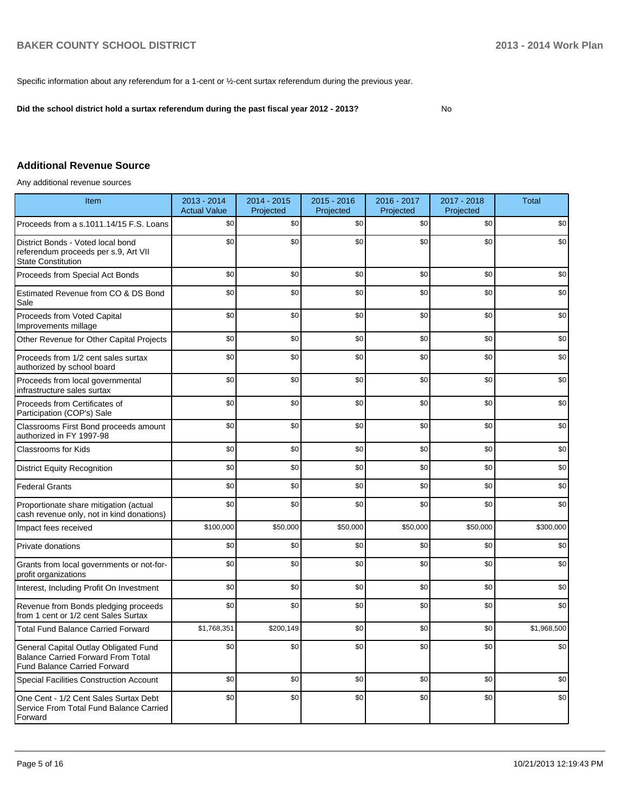No

Specific information about any referendum for a 1-cent or ½-cent surtax referendum during the previous year.

**Did the school district hold a surtax referendum during the past fiscal year 2012 - 2013?**

**Additional Revenue Source**

Any additional revenue sources

| Item                                                                                                                      | 2013 - 2014<br><b>Actual Value</b> | $2014 - 2015$<br>Projected | $2015 - 2016$<br>Projected | 2016 - 2017<br>Projected | 2017 - 2018<br>Projected | <b>Total</b> |
|---------------------------------------------------------------------------------------------------------------------------|------------------------------------|----------------------------|----------------------------|--------------------------|--------------------------|--------------|
| Proceeds from a s.1011.14/15 F.S. Loans                                                                                   | \$0                                | \$0                        | \$0                        | \$0                      | \$0                      | \$0          |
| District Bonds - Voted local bond<br>referendum proceeds per s.9, Art VII<br><b>State Constitution</b>                    | \$0                                | \$0                        | \$0                        | \$0                      | \$0                      | \$0          |
| Proceeds from Special Act Bonds                                                                                           | \$0                                | \$0                        | \$0                        | \$0                      | \$0                      | \$0          |
| Estimated Revenue from CO & DS Bond<br>Sale                                                                               | \$0                                | \$0                        | \$0                        | \$0                      | \$0                      | \$0          |
| Proceeds from Voted Capital<br>Improvements millage                                                                       | \$0                                | \$0                        | \$0                        | \$0                      | \$0                      | \$0          |
| Other Revenue for Other Capital Projects                                                                                  | \$0                                | \$0                        | \$0                        | \$0                      | \$0                      | \$0          |
| Proceeds from 1/2 cent sales surtax<br>authorized by school board                                                         | \$0                                | \$0                        | \$0                        | \$0                      | \$0                      | \$0          |
| Proceeds from local governmental<br>infrastructure sales surtax                                                           | \$0                                | \$0                        | \$0                        | \$0                      | \$0                      | \$0          |
| Proceeds from Certificates of<br>Participation (COP's) Sale                                                               | \$0                                | \$0                        | \$0                        | \$0                      | \$0                      | \$0          |
| Classrooms First Bond proceeds amount<br>authorized in FY 1997-98                                                         | \$0                                | \$0                        | \$0                        | \$0                      | \$0                      | \$0          |
| Classrooms for Kids                                                                                                       | \$0                                | \$0                        | \$0                        | \$0                      | \$0                      | \$0          |
| <b>District Equity Recognition</b>                                                                                        | \$0                                | \$0                        | \$0                        | \$0                      | \$0                      | \$0          |
| <b>Federal Grants</b>                                                                                                     | \$0                                | \$0                        | \$0                        | \$0                      | \$0                      | \$0          |
| Proportionate share mitigation (actual<br>cash revenue only, not in kind donations)                                       | \$0                                | \$0                        | \$0                        | \$0                      | \$0                      | \$0          |
| Impact fees received                                                                                                      | \$100,000                          | \$50,000                   | \$50,000                   | \$50,000                 | \$50,000                 | \$300,000    |
| Private donations                                                                                                         | \$0                                | \$0                        | \$0                        | \$0                      | \$0                      | \$0          |
| Grants from local governments or not-for-<br>profit organizations                                                         | \$0                                | \$0                        | \$0                        | \$0                      | \$0                      | \$0          |
| Interest, Including Profit On Investment                                                                                  | \$0                                | \$0                        | \$0                        | \$0                      | \$0                      | \$0          |
| Revenue from Bonds pledging proceeds<br>from 1 cent or 1/2 cent Sales Surtax                                              | \$0                                | \$0                        | \$0                        | \$0                      | \$0                      | \$0          |
| <b>Total Fund Balance Carried Forward</b>                                                                                 | \$1,768,351                        | \$200,149                  | \$0                        | \$0                      | \$0                      | \$1,968,500  |
| General Capital Outlay Obligated Fund<br><b>Balance Carried Forward From Total</b><br><b>Fund Balance Carried Forward</b> | \$0                                | \$0                        | \$0                        | \$0                      | \$0                      | \$0          |
| <b>Special Facilities Construction Account</b>                                                                            | \$0                                | \$0                        | \$0                        | \$0                      | \$0                      | \$0          |
| One Cent - 1/2 Cent Sales Surtax Debt<br>Service From Total Fund Balance Carried<br>Forward                               | \$0                                | \$0                        | \$0                        | \$0                      | \$0                      | \$0          |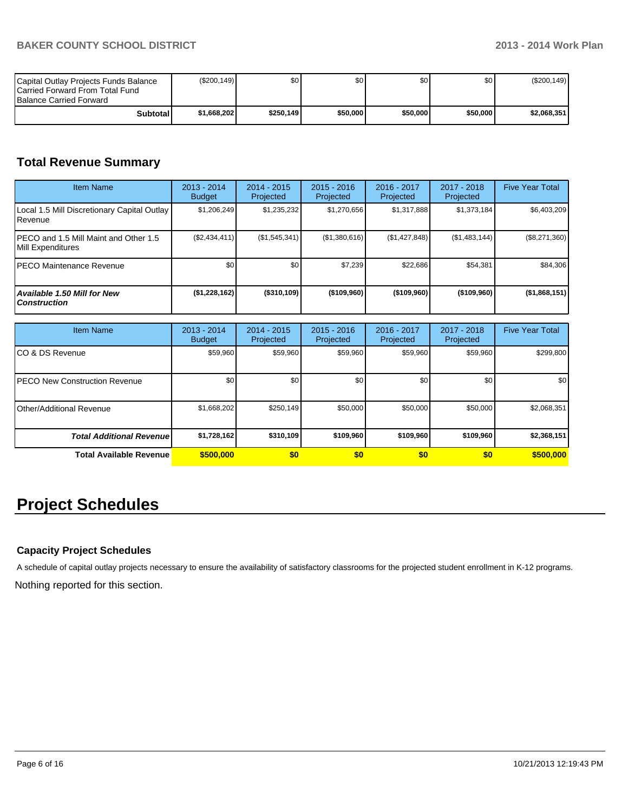| Capital Outlay Projects Funds Balance<br><b>ICarried Forward From Total Fund</b><br><b>Balance Carried Forward</b> | (\$200, 149) | \$0       | \$0      | \$0 I    | \$0      | $(\$200, 149)$ |
|--------------------------------------------------------------------------------------------------------------------|--------------|-----------|----------|----------|----------|----------------|
| Subtotall                                                                                                          | \$1.668.202  | \$250.149 | \$50,000 | \$50,000 | \$50,000 | \$2.068.351    |

# **Total Revenue Summary**

| <b>Item Name</b>                                            | $2013 - 2014$<br><b>Budget</b> | $2014 - 2015$<br>Projected | $2015 - 2016$<br>Projected | $2016 - 2017$<br>Projected | $2017 - 2018$<br>Projected | <b>Five Year Total</b> |
|-------------------------------------------------------------|--------------------------------|----------------------------|----------------------------|----------------------------|----------------------------|------------------------|
| Local 1.5 Mill Discretionary Capital Outlay<br>Revenue      | \$1,206,249                    | \$1,235,232                | \$1,270,656                | \$1,317,888                | \$1,373,184                | \$6,403,209            |
| IPECO and 1.5 Mill Maint and Other 1.5<br>Mill Expenditures | (\$2,434,411)                  | (S1, 545, 341)             | (S1, 380, 616)             | (S1, 427, 848)             | (\$1,483,144)              | $(\$8,271,360)$        |
| IPECO Maintenance Revenue                                   | \$0                            | \$0                        | \$7,239                    | \$22.686                   | \$54,381                   | \$84,306               |
| Available 1.50 Mill for New<br><b>Construction</b>          | (\$1,228,162)                  | (\$310,109)                | (\$109,960)                | $($ \$109,960)             | (\$109,960)                | (\$1,868,151)          |

| <b>Item Name</b>                      | 2013 - 2014<br><b>Budget</b> | $2014 - 2015$<br>Projected | $2015 - 2016$<br>Projected | 2016 - 2017<br>Projected | 2017 - 2018<br>Projected | <b>Five Year Total</b> |
|---------------------------------------|------------------------------|----------------------------|----------------------------|--------------------------|--------------------------|------------------------|
| ICO & DS Revenue                      | \$59,960                     | \$59,960                   | \$59,960                   | \$59,960                 | \$59,960                 | \$299,800              |
| <b>IPECO New Construction Revenue</b> | \$0                          | \$0                        | \$0 <sub>1</sub>           | \$0                      | \$0                      | \$0                    |
| Other/Additional Revenue              | \$1,668,202                  | \$250,149                  | \$50,000                   | \$50,000                 | \$50,000                 | \$2,068,351            |
| <b>Total Additional Revenuel</b>      | \$1,728,162                  | \$310,109                  | \$109,960                  | \$109,960                | \$109,960                | \$2,368,151            |
| Total Available Revenue               | \$500,000                    | \$0                        | \$0                        | \$0                      | \$0                      | \$500,000              |

# **Project Schedules**

## **Capacity Project Schedules**

A schedule of capital outlay projects necessary to ensure the availability of satisfactory classrooms for the projected student enrollment in K-12 programs.

Nothing reported for this section.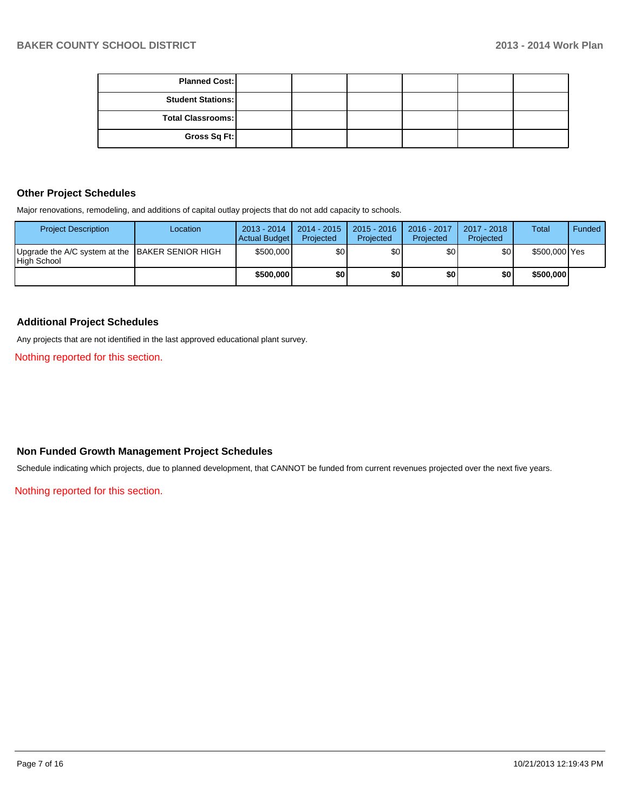| <b>Planned Cost:</b>     |  |  |  |
|--------------------------|--|--|--|
| <b>Student Stations:</b> |  |  |  |
| <b>Total Classrooms:</b> |  |  |  |
| Gross Sq Ft:             |  |  |  |

### **Other Project Schedules**

Major renovations, remodeling, and additions of capital outlay projects that do not add capacity to schools.

| <b>Project Description</b>                                     | Location | $2013 - 2014$<br>Actual Budget | $2014 - 2015$<br>Projected | $2015 - 2016$<br>Projected | 2016 - 2017<br>Projected | 2017 - 2018<br>Projected | <b>Total</b>  | Funded |
|----------------------------------------------------------------|----------|--------------------------------|----------------------------|----------------------------|--------------------------|--------------------------|---------------|--------|
| Upgrade the A/C system at the BAKER SENIOR HIGH<br>High School |          | \$500,000                      | \$01                       | ا30                        | \$0 I                    | \$0                      | \$500,000 Yes |        |
|                                                                |          | \$500,000                      | \$0 I                      | \$0                        | \$0                      | \$0                      | \$500,000     |        |

#### **Additional Project Schedules**

Any projects that are not identified in the last approved educational plant survey.

Nothing reported for this section.

## **Non Funded Growth Management Project Schedules**

Schedule indicating which projects, due to planned development, that CANNOT be funded from current revenues projected over the next five years.

Nothing reported for this section.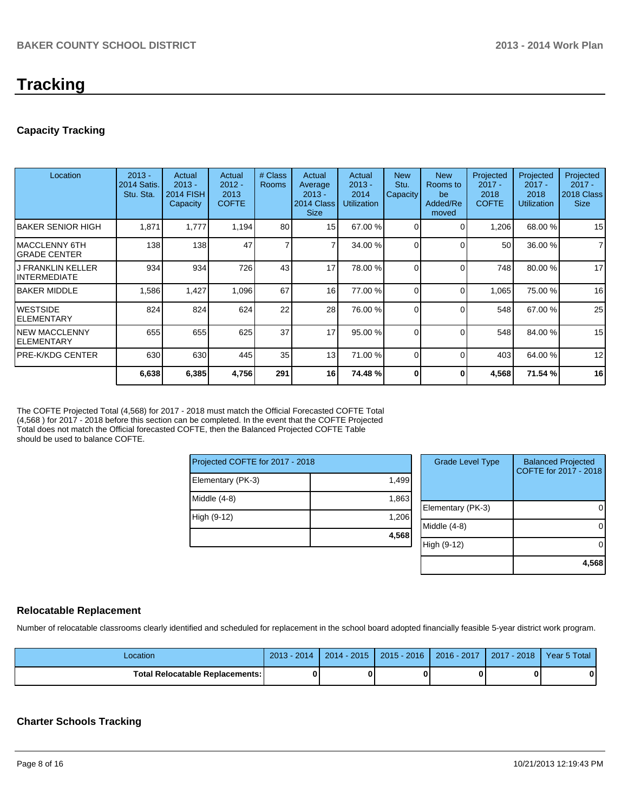# **Tracking**

## **Capacity Tracking**

| Location                                 | $2013 -$<br>2014 Satis.<br>Stu. Sta. | Actual<br>$2013 -$<br><b>2014 FISH</b><br>Capacity | Actual<br>$2012 -$<br>2013<br><b>COFTE</b> | # Class<br><b>Rooms</b> | Actual<br>Average<br>$2013 -$<br>2014 Class<br><b>Size</b> | Actual<br>$2013 -$<br>2014<br><b>Utilization</b> | <b>New</b><br>Stu.<br>Capacity | <b>New</b><br>Rooms to<br>be<br>Added/Re<br>moved | Projected<br>$2017 -$<br>2018<br><b>COFTE</b> | Projected<br>$2017 -$<br>2018<br><b>Utilization</b> | Projected<br>$2017 -$<br>2018 Class<br><b>Size</b> |
|------------------------------------------|--------------------------------------|----------------------------------------------------|--------------------------------------------|-------------------------|------------------------------------------------------------|--------------------------------------------------|--------------------------------|---------------------------------------------------|-----------------------------------------------|-----------------------------------------------------|----------------------------------------------------|
| <b>BAKER SENIOR HIGH</b>                 | 1,871                                | 1.777                                              | 1,194                                      | 80                      | 15                                                         | 67.00 %                                          | 0                              | ∩                                                 | 1,206                                         | 68.00 %                                             | 15                                                 |
| MACCLENNY 6TH<br>IGRADE CENTER           | 138                                  | 138                                                | 47                                         | 7                       | 7                                                          | 34.00 %                                          | $\Omega$                       | $\Omega$                                          | 50                                            | 36.00 %                                             | $\overline{7}$                                     |
| <b>J FRANKLIN KELLER</b><br>INTERMEDIATE | 934                                  | 934                                                | 726                                        | 43                      | 17                                                         | 78.00 %                                          | $\Omega$                       | $\Omega$                                          | 748                                           | 80.00 %                                             | 17                                                 |
| <b>IBAKER MIDDLE</b>                     | 1,586                                | 1,427                                              | 1,096                                      | 67                      | 16                                                         | 77.00 %                                          | 0                              | $\Omega$                                          | 1,065                                         | 75.00 %                                             | 16                                                 |
| <b>WESTSIDE</b><br>IELEMENTARY           | 824                                  | 824                                                | 624                                        | 22                      | 28                                                         | 76.00 %                                          | $\Omega$                       | $\Omega$                                          | 548                                           | 67.00 %                                             | 25                                                 |
| <b>NEW MACCLENNY</b><br>IELEMENTARY      | 655                                  | 655                                                | 625                                        | 37                      | 17                                                         | 95.00%                                           | $\Omega$                       | $\Omega$                                          | 548                                           | 84.00 %                                             | 15                                                 |
| IPRE-K/KDG CENTER                        | 630                                  | 630                                                | 445                                        | 35                      | 13 <sup>1</sup>                                            | 71.00 %                                          | 0                              | $\Omega$                                          | 403                                           | 64.00 %                                             | 12                                                 |
|                                          | 6,638                                | 6,385                                              | 4,756                                      | 291                     | 16                                                         | 74.48 %                                          | U                              | O                                                 | 4,568                                         | 71.54 %                                             | 16                                                 |

The COFTE Projected Total (4,568) for 2017 - 2018 must match the Official Forecasted COFTE Total (4,568 ) for 2017 - 2018 before this section can be completed. In the event that the COFTE Projected Total does not match the Official forecasted COFTE, then the Balanced Projected COFTE Table should be used to balance COFTE.

| Projected COFTE for 2017 - 2018 |       |  |     |  |
|---------------------------------|-------|--|-----|--|
| Elementary (PK-3)               | 1,499 |  |     |  |
| Middle (4-8)                    | 1,863 |  | Ele |  |
| High (9-12)                     | 1,206 |  | Mid |  |
|                                 | 4,568 |  |     |  |

| <b>Grade Level Type</b> | <b>Balanced Projected</b><br>COFTE for 2017 - 2018 |
|-------------------------|----------------------------------------------------|
| Elementary (PK-3)       |                                                    |
| Middle $(4-8)$          |                                                    |
| High (9-12)             |                                                    |
|                         | 4,568                                              |

#### **Relocatable Replacement**

Number of relocatable classrooms clearly identified and scheduled for replacement in the school board adopted financially feasible 5-year district work program.

| Location                          | 2014<br>$2013 -$ | $2014 - 2015$ | $2015 - 2016$ | 2016 - 2017 | $-2018$<br>2017 | Year 5 Total |
|-----------------------------------|------------------|---------------|---------------|-------------|-----------------|--------------|
| Total Relocatable Replacements: I |                  |               |               |             |                 | 0            |

## **Charter Schools Tracking**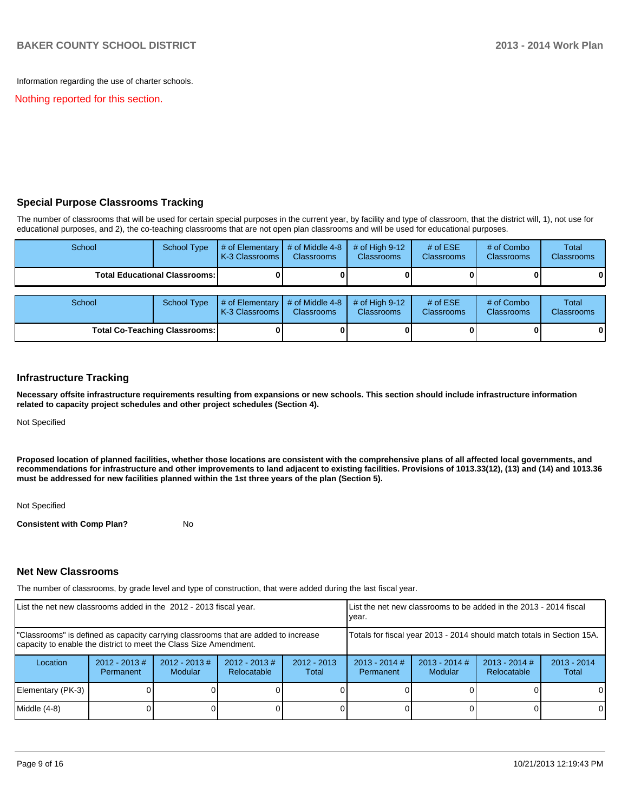Information regarding the use of charter schools.

Nothing reported for this section.

## **Special Purpose Classrooms Tracking**

The number of classrooms that will be used for certain special purposes in the current year, by facility and type of classroom, that the district will, 1), not use for educational purposes, and 2), the co-teaching classrooms that are not open plan classrooms and will be used for educational purposes.

| School                               | <b>School Type</b>                   | # of Elementary $\vert$ # of Middle 4-8<br>K-3 Classrooms I | <b>Classrooms</b>                    | # of High $9-12$<br><b>Classrooms</b> | # of $ESE$<br><b>Classrooms</b> | # of Combo<br><b>Classrooms</b> | <b>Total</b><br><b>Classrooms</b> |
|--------------------------------------|--------------------------------------|-------------------------------------------------------------|--------------------------------------|---------------------------------------|---------------------------------|---------------------------------|-----------------------------------|
|                                      | <b>Total Educational Classrooms:</b> |                                                             |                                      |                                       |                                 |                                 |                                   |
| School                               | <b>School Type</b>                   | $#$ of Elementary<br>K-3 Classrooms I                       | # of Middle 4-8<br><b>Classrooms</b> | # of High $9-12$<br><b>Classrooms</b> | # of $ESE$<br>Classrooms        | # of Combo<br><b>Classrooms</b> | Total<br>Classrooms               |
| <b>Total Co-Teaching Classrooms:</b> |                                      |                                                             |                                      |                                       |                                 |                                 |                                   |

#### **Infrastructure Tracking**

**Necessary offsite infrastructure requirements resulting from expansions or new schools. This section should include infrastructure information related to capacity project schedules and other project schedules (Section 4).**

Not Specified

**Proposed location of planned facilities, whether those locations are consistent with the comprehensive plans of all affected local governments, and recommendations for infrastructure and other improvements to land adjacent to existing facilities. Provisions of 1013.33(12), (13) and (14) and 1013.36 must be addressed for new facilities planned within the 1st three years of the plan (Section 5).**

Not Specified

**Consistent with Comp Plan?** No

#### **Net New Classrooms**

The number of classrooms, by grade level and type of construction, that were added during the last fiscal year.

| List the net new classrooms added in the 2012 - 2013 fiscal year.                                                                                       |                              |                                   | List the net new classrooms to be added in the 2013 - 2014 fiscal<br>lvear. |                        |                                                                        |                            |                                |                        |
|---------------------------------------------------------------------------------------------------------------------------------------------------------|------------------------------|-----------------------------------|-----------------------------------------------------------------------------|------------------------|------------------------------------------------------------------------|----------------------------|--------------------------------|------------------------|
| "Classrooms" is defined as capacity carrying classrooms that are added to increase<br>capacity to enable the district to meet the Class Size Amendment. |                              |                                   |                                                                             |                        | Totals for fiscal year 2013 - 2014 should match totals in Section 15A. |                            |                                |                        |
| Location                                                                                                                                                | $2012 - 2013$ #<br>Permanent | $2012 - 2013$ #<br><b>Modular</b> | $2012 - 2013$ #<br>Relocatable                                              | $2012 - 2013$<br>Total | $2013 - 2014$ #<br>Permanent                                           | $2013 - 2014$ #<br>Modular | $2013 - 2014$ #<br>Relocatable | $2013 - 2014$<br>Total |
| Elementary (PK-3)                                                                                                                                       |                              |                                   |                                                                             |                        |                                                                        |                            |                                | $\Omega$               |
| Middle (4-8)                                                                                                                                            |                              |                                   |                                                                             |                        |                                                                        |                            |                                | $\Omega$               |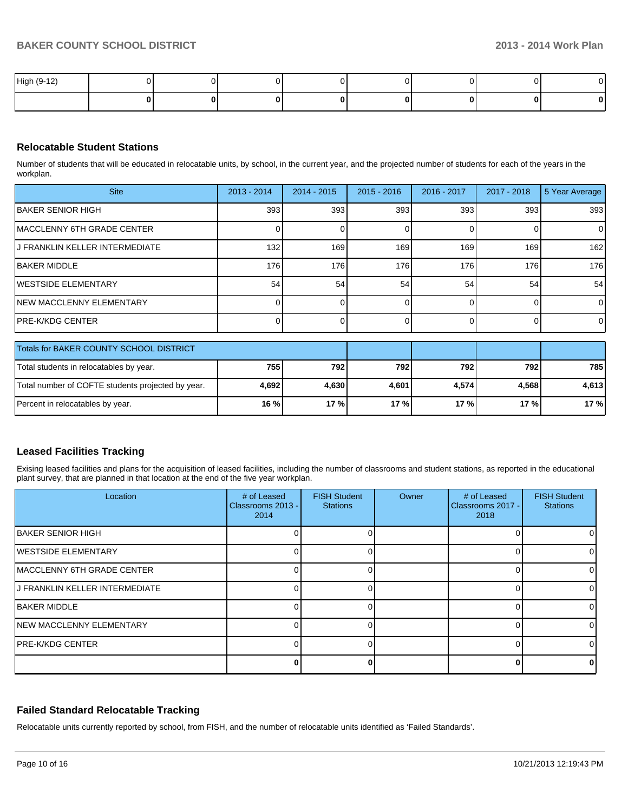| High (9-12) |  |  |  |  |
|-------------|--|--|--|--|
|             |  |  |  |  |

### **Relocatable Student Stations**

Number of students that will be educated in relocatable units, by school, in the current year, and the projected number of students for each of the years in the workplan.

| <b>Site</b>                                       | $2013 - 2014$ | $2014 - 2015$ | $2015 - 2016$ | 2016 - 2017 | 2017 - 2018 | 5 Year Average |
|---------------------------------------------------|---------------|---------------|---------------|-------------|-------------|----------------|
| <b>IBAKER SENIOR HIGH</b>                         | 393           | 393           | 393           | 393         | 393         | 393            |
| IMACCLENNY 6TH GRADE CENTER                       |               |               |               | $\Omega$    |             | $\Omega$       |
| J FRANKLIN KELLER INTERMEDIATE                    | 132           | 169           | 169           | 169         | 169         | 162            |
| <b>IBAKER MIDDLE</b>                              | 176           | 176           | 176           | 176         | 176         | 176            |
| IWESTSIDE ELEMENTARY                              | 54            | 54            | 54            | 54          | 54          | 54             |
| NEW MACCLENNY ELEMENTARY                          |               |               |               |             |             | $\Omega$       |
| IPRE-K/KDG CENTER                                 |               |               |               |             |             | $\overline{0}$ |
| Totals for BAKER COUNTY SCHOOL DISTRICT           |               |               |               |             |             |                |
| Total students in relocatables by year.           | 755           | 792           | 792           | 792         | 792         | 785            |
| Total number of COFTE students projected by year. | 4,692         | 4,630         | 4,601         | 4,574       | 4,568       | 4,613          |
| Percent in relocatables by year.                  | 16 %          | 17%           | 17%           | 17%         | 17%         | 17 %           |

#### **Leased Facilities Tracking**

Exising leased facilities and plans for the acquisition of leased facilities, including the number of classrooms and student stations, as reported in the educational plant survey, that are planned in that location at the end of the five year workplan.

| Location                           | # of Leased<br>Classrooms 2013 -<br>2014 | <b>FISH Student</b><br><b>Stations</b> | Owner | # of Leased<br>Classrooms 2017 -<br>2018 | <b>FISH Student</b><br><b>Stations</b> |
|------------------------------------|------------------------------------------|----------------------------------------|-------|------------------------------------------|----------------------------------------|
| <b>IBAKER SENIOR HIGH</b>          |                                          |                                        |       |                                          |                                        |
| <b>IWESTSIDE ELEMENTARY</b>        |                                          |                                        |       |                                          |                                        |
| <b>IMACCLENNY 6TH GRADE CENTER</b> |                                          |                                        |       |                                          |                                        |
| J FRANKLIN KELLER INTERMEDIATE     |                                          |                                        |       |                                          |                                        |
| <b>IBAKER MIDDLE</b>               |                                          |                                        |       |                                          |                                        |
| <b>INEW MACCLENNY ELEMENTARY</b>   |                                          |                                        |       |                                          |                                        |
| <b>IPRE-K/KDG CENTER</b>           |                                          |                                        |       |                                          |                                        |
|                                    |                                          |                                        |       |                                          |                                        |

#### **Failed Standard Relocatable Tracking**

Relocatable units currently reported by school, from FISH, and the number of relocatable units identified as 'Failed Standards'.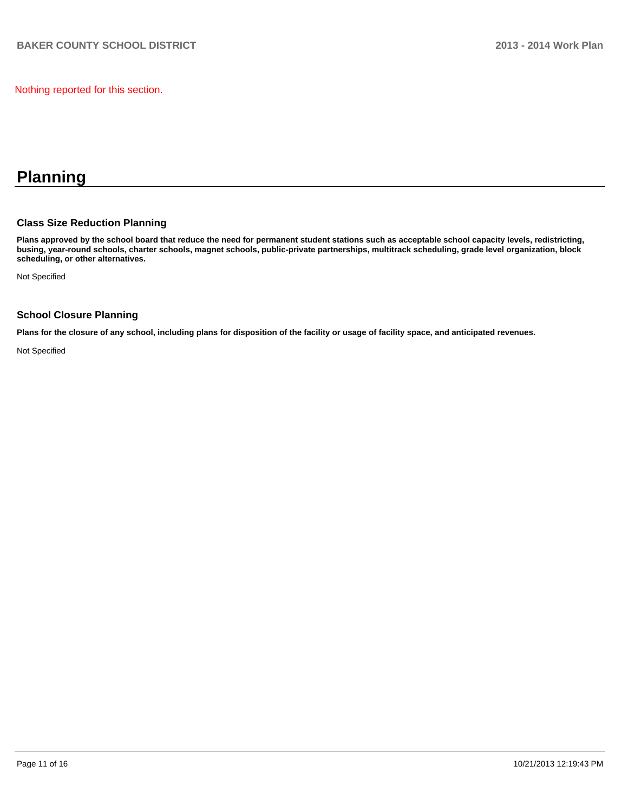Nothing reported for this section.

# **Planning**

## **Class Size Reduction Planning**

**Plans approved by the school board that reduce the need for permanent student stations such as acceptable school capacity levels, redistricting, busing, year-round schools, charter schools, magnet schools, public-private partnerships, multitrack scheduling, grade level organization, block scheduling, or other alternatives.**

Not Specified

## **School Closure Planning**

**Plans for the closure of any school, including plans for disposition of the facility or usage of facility space, and anticipated revenues.**

Not Specified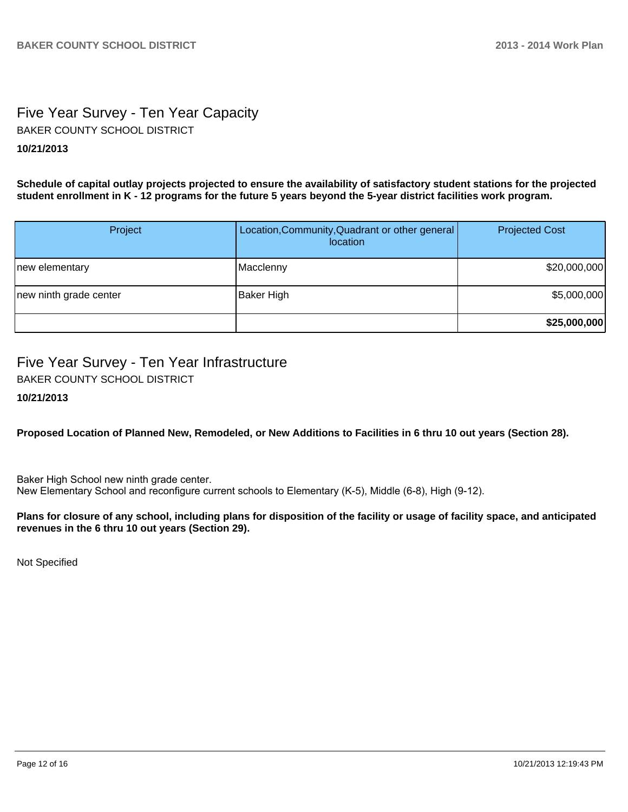# Five Year Survey - Ten Year Capacity **10/21/2013** BAKER COUNTY SCHOOL DISTRICT

**Schedule of capital outlay projects projected to ensure the availability of satisfactory student stations for the projected student enrollment in K - 12 programs for the future 5 years beyond the 5-year district facilities work program.**

| Project                | Location, Community, Quadrant or other general<br>location | <b>Projected Cost</b> |
|------------------------|------------------------------------------------------------|-----------------------|
| new elementary         | Macclenny                                                  | \$20,000,000          |
| new ninth grade center | Baker High                                                 | \$5,000,000           |
|                        |                                                            | \$25,000,000          |

# Five Year Survey - Ten Year Infrastructure

BAKER COUNTY SCHOOL DISTRICT

**10/21/2013**

## **Proposed Location of Planned New, Remodeled, or New Additions to Facilities in 6 thru 10 out years (Section 28).**

Baker High School new ninth grade center. New Elementary School and reconfigure current schools to Elementary (K-5), Middle (6-8), High (9-12).

### **Plans for closure of any school, including plans for disposition of the facility or usage of facility space, and anticipated revenues in the 6 thru 10 out years (Section 29).**

Not Specified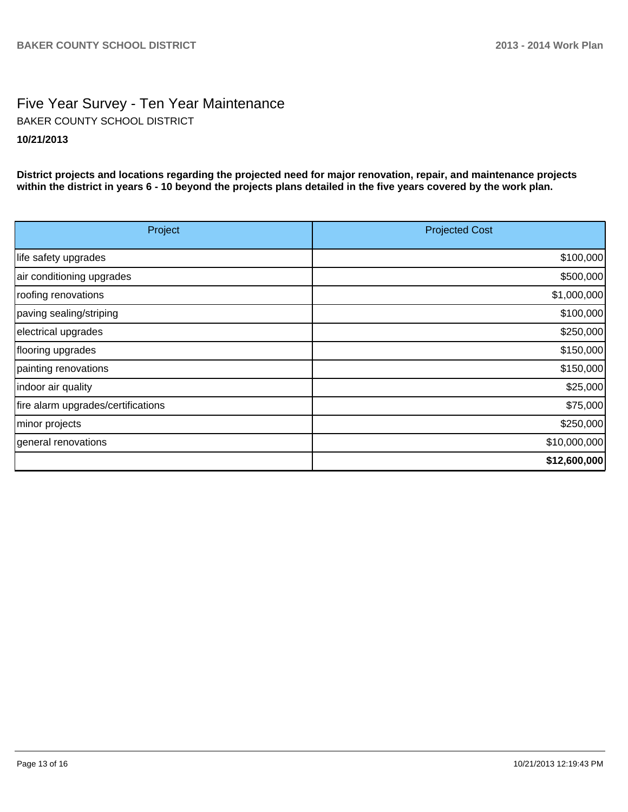# Five Year Survey - Ten Year Maintenance **10/21/2013** BAKER COUNTY SCHOOL DISTRICT

**District projects and locations regarding the projected need for major renovation, repair, and maintenance projects within the district in years 6 - 10 beyond the projects plans detailed in the five years covered by the work plan.**

| Project                            | <b>Projected Cost</b> |
|------------------------------------|-----------------------|
| life safety upgrades               | \$100,000             |
| air conditioning upgrades          | \$500,000             |
| roofing renovations                | \$1,000,000           |
| paving sealing/striping            | \$100,000             |
| electrical upgrades                | \$250,000             |
| flooring upgrades                  | \$150,000             |
| painting renovations               | \$150,000             |
| indoor air quality                 | \$25,000              |
| fire alarm upgrades/certifications | \$75,000              |
| minor projects                     | \$250,000             |
| general renovations                | \$10,000,000          |
|                                    | \$12,600,000          |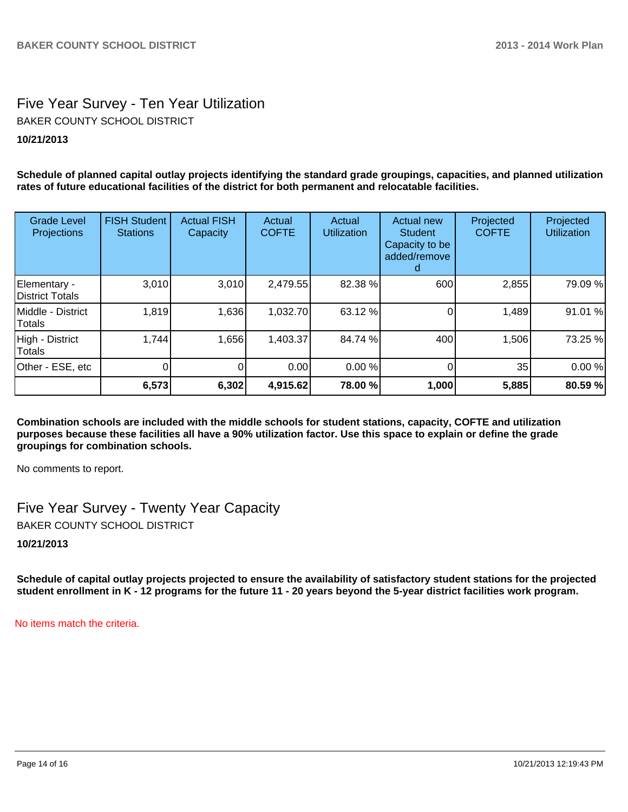# Five Year Survey - Ten Year Utilization **10/21/2013** BAKER COUNTY SCHOOL DISTRICT

**Schedule of planned capital outlay projects identifying the standard grade groupings, capacities, and planned utilization rates of future educational facilities of the district for both permanent and relocatable facilities.**

| <b>Grade Level</b><br>Projections | <b>FISH Student</b><br><b>Stations</b> | <b>Actual FISH</b><br>Capacity | Actual<br><b>COFTE</b> | Actual<br><b>Utilization</b> | Actual new<br><b>Student</b><br>Capacity to be<br>added/remove | Projected<br><b>COFTE</b> | Projected<br><b>Utilization</b> |
|-----------------------------------|----------------------------------------|--------------------------------|------------------------|------------------------------|----------------------------------------------------------------|---------------------------|---------------------------------|
| Elementary -<br>District Totals   | 3,010                                  | 3,010                          | 2,479.55               | 82.38 %                      | 600                                                            | 2,855                     | 79.09 %                         |
| Middle - District<br>Totals       | 1,819                                  | 1,636                          | 1,032.70               | 63.12 %                      |                                                                | 1,489                     | 91.01 %                         |
| High - District<br>Totals         | 1,744                                  | 1,656                          | 1,403.37               | 84.74 %                      | 400                                                            | 1,506                     | 73.25 %                         |
| Other - ESE, etc                  |                                        |                                | 0.00                   | 0.00 %                       |                                                                | 35                        | 0.00%                           |
|                                   | 6,573                                  | 6,302                          | 4,915.62               | 78.00 %                      | 1,000                                                          | 5,885                     | 80.59 %                         |

**Combination schools are included with the middle schools for student stations, capacity, COFTE and utilization purposes because these facilities all have a 90% utilization factor. Use this space to explain or define the grade groupings for combination schools.**

No comments to report.

Five Year Survey - Twenty Year Capacity BAKER COUNTY SCHOOL DISTRICT

**10/21/2013**

**Schedule of capital outlay projects projected to ensure the availability of satisfactory student stations for the projected student enrollment in K - 12 programs for the future 11 - 20 years beyond the 5-year district facilities work program.**

No items match the criteria.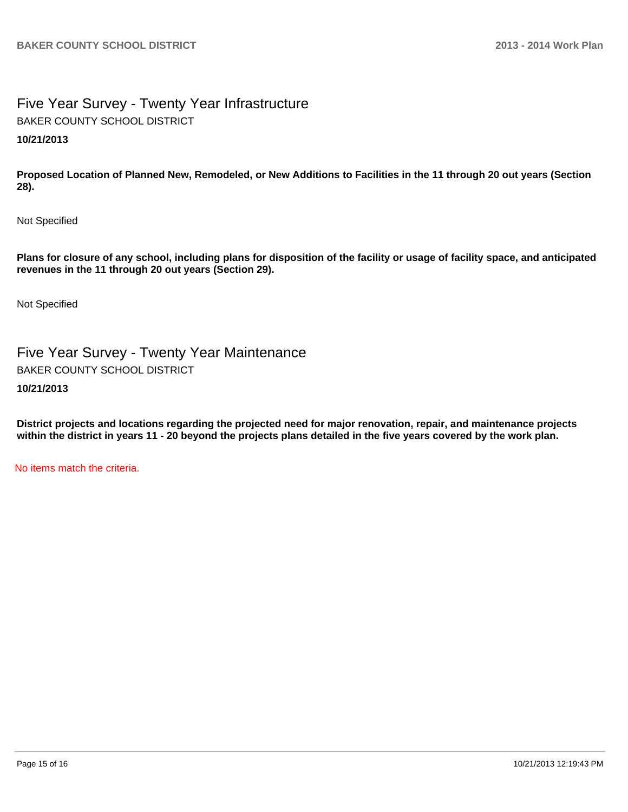# Five Year Survey - Twenty Year Infrastructure **10/21/2013** BAKER COUNTY SCHOOL DISTRICT

**Proposed Location of Planned New, Remodeled, or New Additions to Facilities in the 11 through 20 out years (Section 28).**

Not Specified

**Plans for closure of any school, including plans for disposition of the facility or usage of facility space, and anticipated revenues in the 11 through 20 out years (Section 29).**

Not Specified

Five Year Survey - Twenty Year Maintenance BAKER COUNTY SCHOOL DISTRICT

## **10/21/2013**

**District projects and locations regarding the projected need for major renovation, repair, and maintenance projects within the district in years 11 - 20 beyond the projects plans detailed in the five years covered by the work plan.**

No items match the criteria.